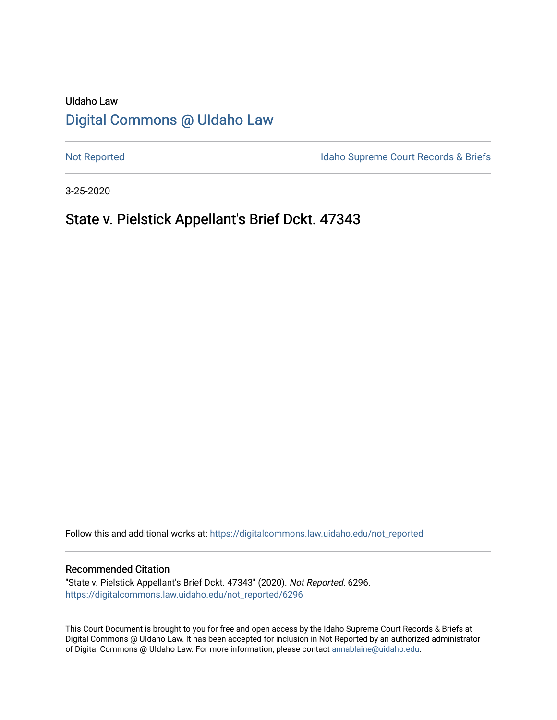# UIdaho Law [Digital Commons @ UIdaho Law](https://digitalcommons.law.uidaho.edu/)

[Not Reported](https://digitalcommons.law.uidaho.edu/not_reported) **Idaho Supreme Court Records & Briefs** 

3-25-2020

# State v. Pielstick Appellant's Brief Dckt. 47343

Follow this and additional works at: [https://digitalcommons.law.uidaho.edu/not\\_reported](https://digitalcommons.law.uidaho.edu/not_reported?utm_source=digitalcommons.law.uidaho.edu%2Fnot_reported%2F6296&utm_medium=PDF&utm_campaign=PDFCoverPages) 

#### Recommended Citation

"State v. Pielstick Appellant's Brief Dckt. 47343" (2020). Not Reported. 6296. [https://digitalcommons.law.uidaho.edu/not\\_reported/6296](https://digitalcommons.law.uidaho.edu/not_reported/6296?utm_source=digitalcommons.law.uidaho.edu%2Fnot_reported%2F6296&utm_medium=PDF&utm_campaign=PDFCoverPages)

This Court Document is brought to you for free and open access by the Idaho Supreme Court Records & Briefs at Digital Commons @ UIdaho Law. It has been accepted for inclusion in Not Reported by an authorized administrator of Digital Commons @ UIdaho Law. For more information, please contact [annablaine@uidaho.edu](mailto:annablaine@uidaho.edu).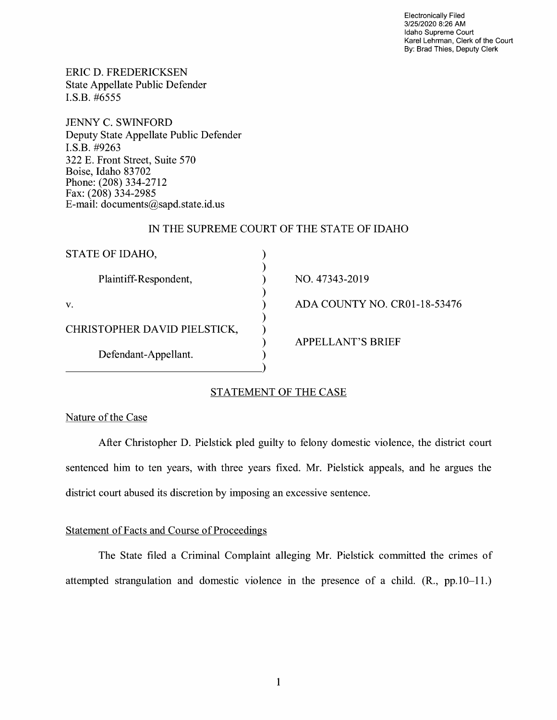Electronically Filed 3/25/2020 8:26 **AM**  Idaho Supreme Court Karel Lehrman, Clerk of the Court By: Brad Thies, Deputy Clerk

CR01-18-53476

ERIC D. FREDERICKSEN State Appellate Public Defender I.S.B. #6555

JENNY C. SWINFORD Deputy State Appellate Public Defender I.S.B. #9263 322 E. Front Street, Suite 570 Boise, Idaho 83702 Phone: (208) 334-2712 Fax: (208) 334-2985 E-mail: documents@sapd.state.id. us

### IN THE SUPREME COURT OF THE STATE OF IDAHO

| STATE OF IDAHO,              |                          |
|------------------------------|--------------------------|
| Plaintiff-Respondent,        | NO. 47343-2019           |
| V.                           | ADA COUNTY NO. CI        |
| CHRISTOPHER DAVID PIELSTICK, |                          |
| Defendant-Appellant.         | <b>APPELLANT'S BRIEF</b> |
|                              |                          |

## STATEMENT OF THE CASE

### Nature of the Case

After Christopher D. Pielstick pied guilty to felony domestic violence, the district court sentenced him to ten years, with three years fixed. Mr. Pielstick appeals, and he argues the district court abused its discretion by imposing an excessive sentence.

### Statement of Facts and Course of Proceedings

The State filed a Criminal Complaint alleging Mr. Pielstick committed the crimes of attempted strangulation and domestic violence in the presence of a child. (R., pp.10-11.)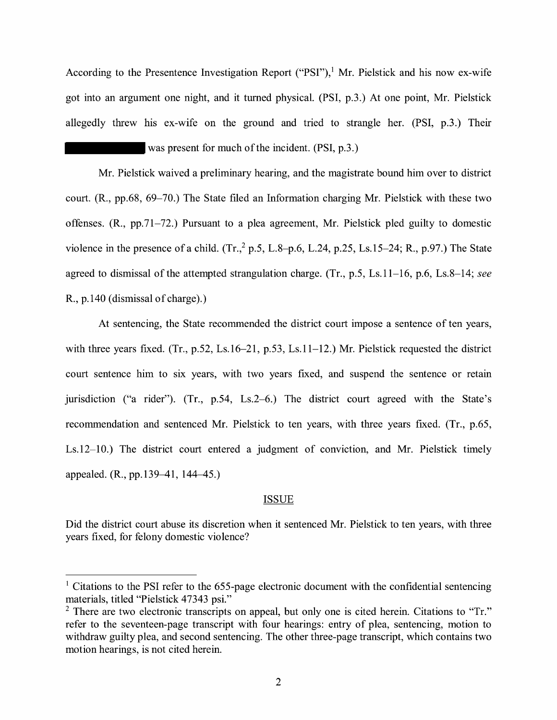According to the Presentence Investigation Report ("PSI"),<sup>1</sup> Mr. Pielstick and his now ex-wife got into an argument one night, and it turned physical. (PSI, p.3.) At one point, Mr. Pielstick allegedly threw his ex-wife on the ground and tried to strangle her. (PSI, p.3.) Their

was present for much of the incident. (PSI, p.3.)

Mr. Pielstick waived a preliminary hearing, and the magistrate bound him over to district court. (R., pp.68, 69-70.) The State filed an Information charging Mr. Pielstick with these two offenses. (R., pp.71-72.) Pursuant to a plea agreement, Mr. Pielstick pled guilty to domestic violence in the presence of a child.  $(Tr<sub>1</sub><sup>2</sup> p.5, L.8-p.6, L.24, p.25, Ls.15-24; R., p.97.)$  The State agreed to dismissal of the attempted strangulation charge. (Tr., p.5, Ls.11-16, p.6, Ls.8-14; *see*  R., p.140 (dismissal of charge).)

At sentencing, the State recommended the district court impose a sentence of ten years, with three years fixed. (Tr., p.52, Ls.16–21, p.53, Ls.11–12.) Mr. Pielstick requested the district court sentence him to six years, with two years fixed, and suspend the sentence or retain jurisdiction ("a rider"). (Tr., p.54, Ls.2-6.) The district court agreed with the State's recommendation and sentenced Mr. Pielstick to ten years, with three years fixed. (Tr., p.65, Ls.12-10.) The district court entered a judgment of conviction, and Mr. Pielstick timely appealed. (R., pp.139–41, 144–45.)

#### ISSUE

Did the district court abuse its discretion when it sentenced Mr. Pielstick to ten years, with three years fixed, for felony domestic violence?

 $1$  Citations to the PSI refer to the 655-page electronic document with the confidential sentencing materials, titled "Pielstick 47343 psi."

 $2$  There are two electronic transcripts on appeal, but only one is cited herein. Citations to "Tr." refer to the seventeen-page transcript with four hearings: entry of plea, sentencing, motion to withdraw guilty plea, and second sentencing. The other three-page transcript, which contains two motion hearings, is not cited herein.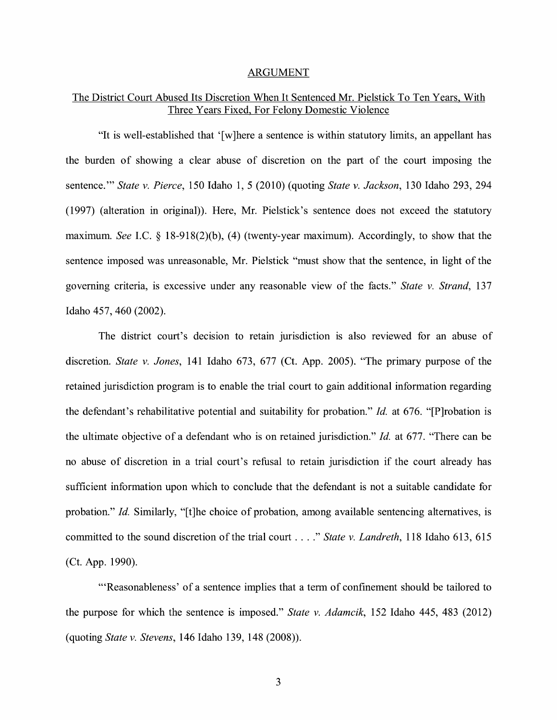#### ARGUMENT

## The District Court Abused Its Discretion When It Sentenced Mr. Pielstick To Ten Years, With Three Years Fixed, For Felony Domestic Violence

"It is well-established that '[w]here a sentence is within statutory limits, an appellant has the burden of showing a clear abuse of discretion on the part of the court imposing the sentence."' *State v. Pierce,* 150 Idaho 1, 5 (2010) (quoting *State v. Jackson,* 130 Idaho 293, 294 (1997) (alteration in original)). Here, Mr. Pielstick's sentence does not exceed the statutory maximum. *See* I.C. § 18-918(2)(b), (4) (twenty-year maximum). Accordingly, to show that the sentence imposed was unreasonable, Mr. Pielstick "must show that the sentence, in light of the governing criteria, is excessive under any reasonable view of the facts." *State v. Strand*, 137 Idaho 457, 460 (2002).

The district court's decision to retain jurisdiction is also reviewed for an abuse of discretion. *State v. Jones,* 141 Idaho 673, 677 (Ct. App. 2005). "The primary purpose of the retained jurisdiction program is to enable the trial court to gain additional information regarding the defendant's rehabilitative potential and suitability for probation." *Id.* at 676. "[P]robation is the ultimate objective of a defendant who is on retained jurisdiction." *Id.* at 677. "There can be no abuse of discretion in a trial court's refusal to retain jurisdiction if the court already has sufficient information upon which to conclude that the defendant is not a suitable candidate for probation." *Id.* Similarly, "[t]he choice of probation, among available sentencing alternatives, is committed to the sound discretion of the trial court .... " *State v. Landreth,* 118 Idaho 613, 615 (Ct. App. 1990).

"'Reasonableness' of a sentence implies that a term of confinement should be tailored to the purpose for which the sentence is imposed." *State v. Adamcik,* 152 Idaho 445, 483 (2012) (quoting *State v. Stevens,* 146 Idaho 139, 148 (2008)).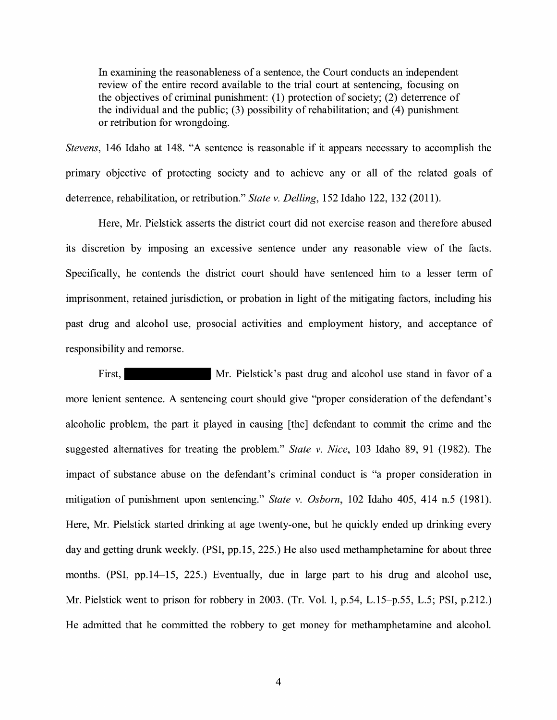In examining the reasonableness of a sentence, the Court conducts an independent review of the entire record available to the trial court at sentencing, focusing on the objectives of criminal punishment: (1) protection of society; (2) deterrence of the individual and the public;  $(3)$  possibility of rehabilitation; and  $(4)$  punishment or retribution for wrongdoing.

*Stevens,* 146 Idaho at 148. "A sentence is reasonable if it appears necessary to accomplish the primary objective of protecting society and to achieve any or all of the related goals of deterrence, rehabilitation, or retribution." *State v. Delling,* 152 Idaho 122, 132 (2011).

Here, Mr. Pielstick asserts the district court did not exercise reason and therefore abused its discretion by imposing an excessive sentence under any reasonable view of the facts. Specifically, he contends the district court should have sentenced him to a lesser term of imprisonment, retained jurisdiction, or probation in light of the mitigating factors, including his past drug and alcohol use, prosocial activities and employment history, and acceptance of responsibility and remorse.

First, Mr. Pielstick's past drug and alcohol use stand in favor of a more lenient sentence. A sentencing court should give "proper consideration of the defendant's alcoholic problem, the part it played in causing [the] defendant to commit the crime and the suggested alternatives for treating the problem." *State v. Nice,* 103 Idaho 89, 91 (1982). The impact of substance abuse on the defendant's criminal conduct is "a proper consideration in mitigation of punishment upon sentencing." *State v. Osborn,* 102 Idaho 405, 414 n.5 (1981). Here, Mr. Pielstick started drinking at age twenty-one, but he quickly ended up drinking every day and getting drunk weekly. (PSI, pp.15, 225.) He also used methamphetamine for about three months. (PSI, pp.14-15, 225.) Eventually, due in large part to his drug and alcohol use, Mr. Pielstick went to prison for robbery in 2003. (Tr. Vol. I, p.54, L.15-p.55, L.5; PSI, p.212.) He admitted that he committed the robbery to get money for methamphetamine and alcohol.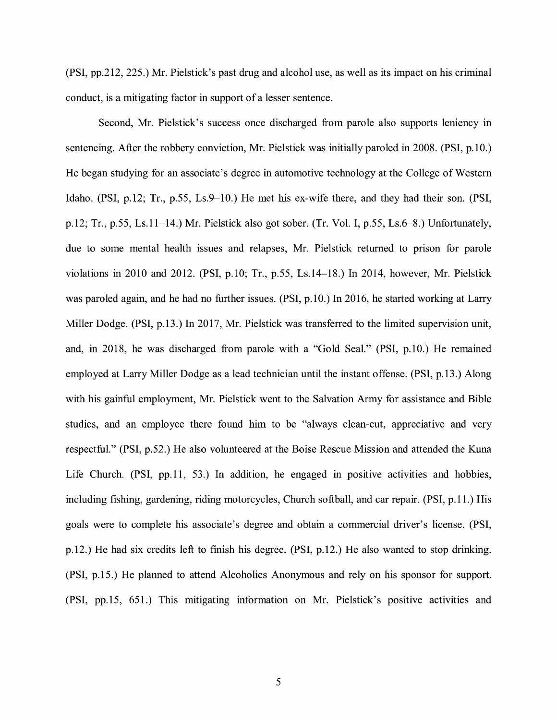(PSI, pp.212, 225.) Mr. Pielstick's past drug and alcohol use, as well as its impact on his criminal conduct, is a mitigating factor in support of a lesser sentence.

Second, Mr. Pielstick's success once discharged from parole also supports leniency in sentencing. After the robbery conviction, Mr. Pielstick was initially paroled in 2008. (PSI, p.10.) He began studying for an associate's degree in automotive technology at the College of Western Idaho. (PSI, p.12; Tr., p.55, Ls.9-10.) He met his ex-wife there, and they had their son. (PSI, p.12; Tr., p.55, Ls.11-14.) Mr. Pielstick also got sober. (Tr. Vol. I, p.55, Ls.6-8.) Unfortunately, due to some mental health issues and relapses, Mr. Pielstick returned to prison for parole violations in 2010 and 2012. (PSI, p.10; Tr., p.55, Ls.14-18.) In 2014, however, Mr. Pielstick was paroled again, and he had no further issues. (PSI, p.10.) In 2016, he started working at Larry Miller Dodge. (PSI, p.13.) In 2017, Mr. Pielstick was transferred to the limited supervision unit, and, in 2018, he was discharged from parole with a "Gold Seal." (PSI, p.10.) He remained employed at Larry Miller Dodge as a lead technician until the instant offense. (PSI, p.13.) Along with his gainful employment, Mr. Pielstick went to the Salvation Army for assistance and Bible studies, and an employee there found him to be "always clean-cut, appreciative and very respectful." (PSI, p.52.) He also volunteered at the Boise Rescue Mission and attended the Kuna Life Church. (PSI, pp.11, 53.) In addition, he engaged in positive activities and hobbies, including fishing, gardening, riding motorcycles, Church softball, and car repair. (PSI, p.11.) His goals were to complete his associate's degree and obtain a commercial driver's license. (PSI, p.12.) He had six credits left to fmish his degree. (PSI, p.12.) He also wanted to stop drinking. (PSI, p.15.) He planned to attend Alcoholics Anonymous and rely on his sponsor for support. (PSI, pp.15, 651.) This mitigating information on Mr. Pielstick's positive activities and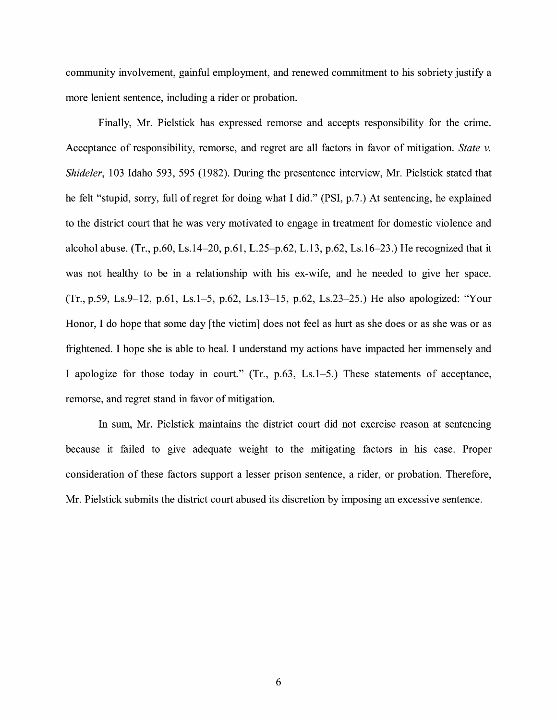community involvement, gainful employment, and renewed commitment to his sobriety justify a more lenient sentence, including a rider or probation.

Finally, Mr. Pielstick has expressed remorse and accepts responsibility for the crime. Acceptance of responsibility, remorse, and regret are all factors in favor of mitigation. *State v. Shideler,* 103 Idaho 593, 595 (1982). During the presentence interview, Mr. Pielstick stated that he felt "stupid, sorry, full of regret for doing what I did." (PSI, p.7.) At sentencing, he explained to the district court that he was very motivated to engage in treatment for domestic violence and alcohol abuse. (Tr., p.60, Ls.14–20, p.61, L.25–p.62, L.13, p.62, Ls.16–23.) He recognized that it was not healthy to be in a relationship with his ex-wife, and he needed to give her space. (Tr., p.59, Ls.9-12, p.61, Ls.1-5, p.62, Ls.13-15, p.62, Ls.23-25.) He also apologized: "Your Honor, I do hope that some day [the victim] does not feel as hurt as she does or as she was or as frightened. I hope she is able to heal. I understand my actions have impacted her immensely and I apologize for those today in court." (Tr., p.63, Ls.1-5.) These statements of acceptance, remorse, and regret stand in favor of mitigation.

In sum, Mr. Pielstick maintains the district court did not exercise reason at sentencing because it failed to give adequate weight to the mitigating factors in his case. Proper consideration of these factors support a lesser prison sentence, a rider, or probation. Therefore, Mr. Pielstick submits the district court abused its discretion by imposing an excessive sentence.